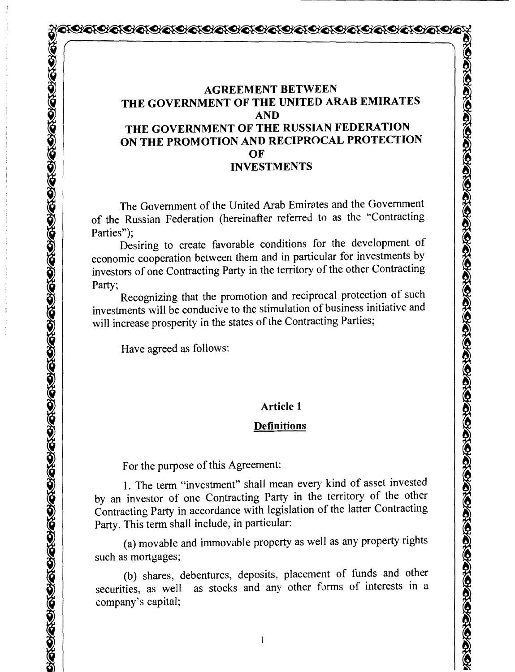## QOQOQQQQQQQQQQQQQQQQQQQQQQQQQQQQQ

#### **AGREEMENT BETWEEN THE GOVERNMENT OF THE UNITED ARAB EMIRATES AND THE GOVERNMENT OF THE RUSSIAN FEDERATION ON THE PROMOTION AND RECIPROCAL PROTECTION OF INVESTMENTS**

The Government of the United Arab Emirates and the Government of the Russian Federation (hereinafter referred to as the "Contracting Parties");

Desiring to create favorable conditions for the development of economic cooperation between them and in particular for investments by investors of one Contracting Party in the territory of the other Contracting Party;

Recognizing that the promotion and reciprocal protection of such investments will be conducive to the stimulation of business initiative and will increase prosperity in the states of the Contracting Parties;

Have agreed as follows:

#### **Article 1**

#### **Definitions**

For the purpose of this Agreement:

1. The term "investment" shall mean every kind of asset invested by an investor of one Contracting Party in the territory of the other Contracting Party in accordance with legislation of the latter Contracting Party. This term shall include, in particular:

(a) movable and immovable property as well as any property rights such as mortgages;

(b) shares, debentures, deposits, placement of funds and other securities, as well as stocks and any other forms of interests in a company's capital;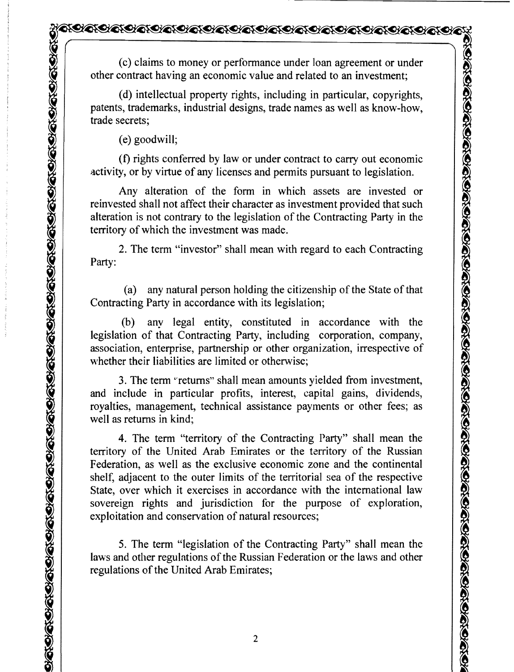(c) claims to money or performance under loan agreement or under other contract having an economic value and related to an investment;

(d) intellectual property rights, including in particular, copyrights, patents, trademarks, industrial designs, trade names as welI as know-how, trade secrets;

(e) goodwill;

(f) rights conferred by law or under contract to carry out economic activity, or by virtue of any licenses and permits pursuant to legislation.

Any alteration of the form in which assets are invested or reinvested shall not affect their character as investment provided that such alteration is not contrary to the legislation of the Contracting Party in the territory of which the investment was made.

2. The term "investor" shall mean with regard to each Contracting Party:

(a) any natural person holding the citizenship of the State of that Contracting Party in accordance with its legislation;

(b) any legal entity, constituted in accordance with the legislation of that Contracting Party, including corporation, company, association, enterprise, partnership or other organization, irrespective of whether their liabilities are limited or otherwise;

3. The term "returns" shall mean amounts yielded from investment, and include in particular profits, interest, capital gains, dividends, royalties, management, technical assistance payments or other fees; as well as returns in kind;

4. The term "territory of the Contracting Party" shall mean the territory of the United Arab Emirates or the territory of the Russian Federation, as well as the exclusive economic zone and the continental shelf, adjacent to the outer limits of the territorial sea of the respective State, over which it exercises in accordance with the international law sovereign rights and jurisdiction for the purpose of exploration, exploitation and conservation of natural resources;

5. The term "legislation of the Contracting Party" shall mean the laws and other regulations of the Russian Federation or the laws and other regulations of the United Arab Emirates;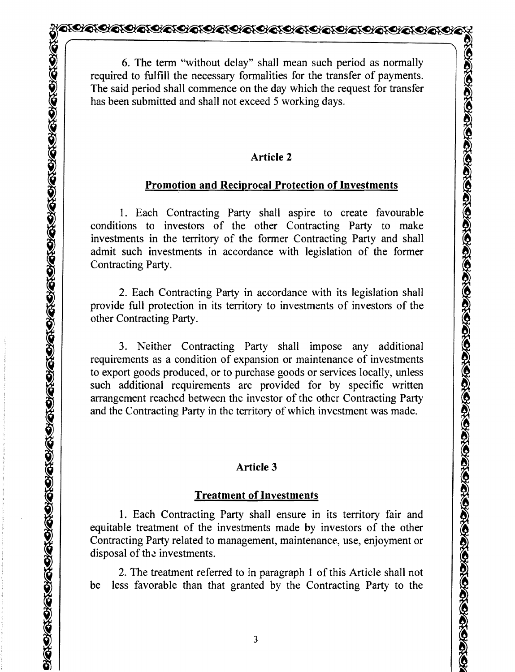6. The term "without delay" shall mean such period as normally required to fulfill the necessary formalities for the transfer of payments. The said period shall commence on the day which the request for transfer has been submitted and shall not exceed 5 working days.

#### **Article 2**

## **Promotion and Reciprocal Protection of Investments**

1. Each Contracting Party shall aspire to create favourable conditions to investors of the other Contracting Party to make investments in the territory of the former Contracting Party and shall admit such investments in accordance with legislation of the former Contracting Party.

2. Each Contracting Party in accordance with its legislation shall provide full protection in its territory to investments of investors of the other Contracting Party.

3. Neither Contracting Party shall impose any additional requirements as a condition of expansion or maintenance of investments to export goods produced, or to purchase goods or services locally, unless such additional requirements are provided for by specific written arrangement reached between the investor of the other Contracting Party and the Contracting Party in the territory of which investment was made.

## **Article 3**

## **Treatment of Investments**

1. Each Contracting Party shall ensure in its territory fair and equitable treatment of the investments made by investors of the other Contracting Party related to management, maintenance, use, enjoyment or disposal of the investments.

2. The treatment referred to in paragraph 1 of this Article shall not be less favorable than that granted by the Contracting Party to the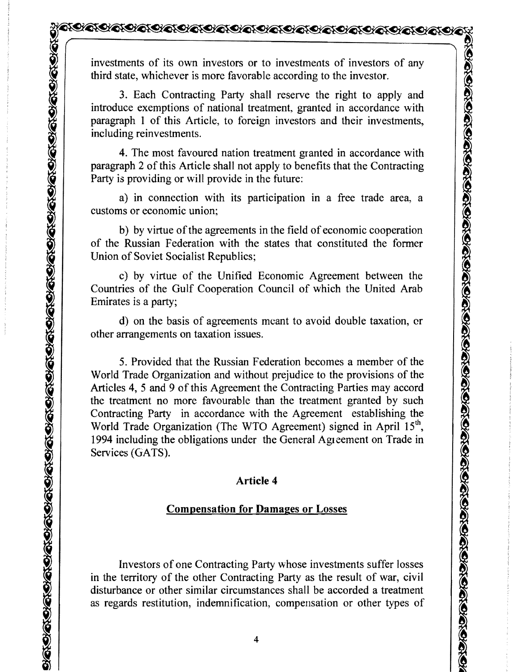investments of its own investors or to investments of investors of any third state, whichever is more favorable according to the investor.

3. Each Contracting Party shall reserve the right to apply and introduce exemptions of national treatment, granted in accordance with paragraph 1 of this Article, to foreign investors and their investments, including reinvestments.

4. The most favoured nation treatment granted in accordance with paragraph 2 of this Article shall not apply to benefits that the Contracting Party is providing or will provide in the future:

a) in connection with its participation in a free trade area, a customs or economic union;

b) by virtue of the agreements in the field of economic cooperation of the Russian Federation with the states that constituted the former Union of Soviet Socialist Republics;

c) by virtue of the Unified Economic Agreement between the Countries of the Gulf Cooperation Council of which the United Arab Emirates is a party;

d) on the basis of agreements meant to avoid double taxation, or other arrangements on taxation issues.

5. Provided that the Russian Federation becomes a member of the World Trade Organization and without prejudice to the provisions of the Articles 4, 5 and 9 of this Agreement the Contracting Parties may accord the treatment no more favourable than the treatment granted by such Contracting Party in accordance with the Agreement establishing the World Trade Organization (The WTO Agreement) signed in April 15<sup>th</sup>, 1994 including the obligations under the General Agleement on Trade in Services (GATS).

#### **Article 4**

#### **Compensation for Damages or** Losses

Investors of one Contracting Party whose investments suffer losses in the territory of the other Contracting Party as the result of war, civil disturbance or other similar circumstances shall be accorded a treatment as regards restitution, indemnification, compensation or other types of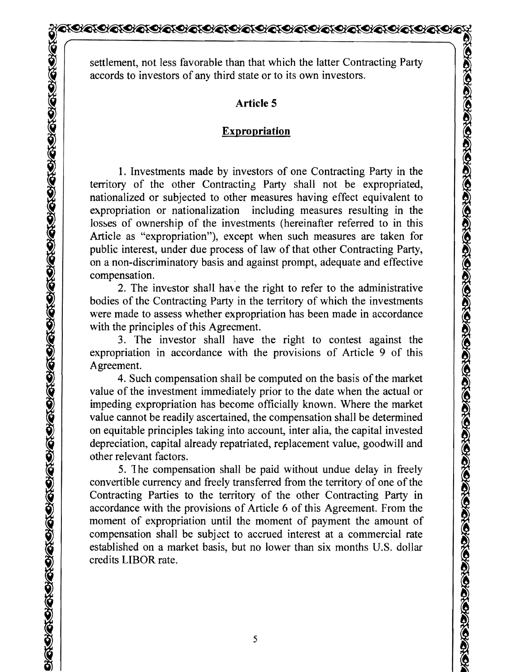settlement, not less favorable than that which the latter Contracting Party accords to investors of any third state or to its own investors.

## **Article 5**

## **Expropriation**

1. Investments made by investors of one Contracting Party in the territory of the other Contracting Party shall not be expropriated, nationalized or subjected to other measures having effect equivalent to expropriation or nationalization including measures resulting in the losses of ownership of the investments (hereinafter referred to in this Article as "expropriation"), except when such measures are taken for public interest, under due process of law of that other Contracting Party, on a non-discriminatory basis and against prompt, adequate and effective compensation.

2. The investor shall have the right to refer to the administrative bodies of the Contracting Party in the territory of which the investments were made to assess whether expropriation has been made in accordance with the principles of this Agreement.

3. The investor shall have the right to contest against the expropriation in accordance with the provisions of Article 9 of this Agreement.

4. Such compensation shall be computed on the basis of the market value of the investment immediately prior to the date when the actual or impeding expropriation has become officially known. Where the market value cannot be readily ascertained, the compensation shall be determined on equitable principles taking into account, inter alia, the capital invested depreciation, capital already repatriated, replacement value, goodwill and other relevant factors.

5. 1 he compensation shall be paid without undue delay in freely convertible currency and freely transferred from the territory of one of the Contracting Parties to the territory of the other Contracting Party in accordance with the provisions of Article 6 of this Agreement. From the moment of expropriation until the moment of payment the amount of compensation shall be subject to accrued interest at a commercial rate established on a market basis, but no lower than six months U.S. dollar credits LIBOR rate.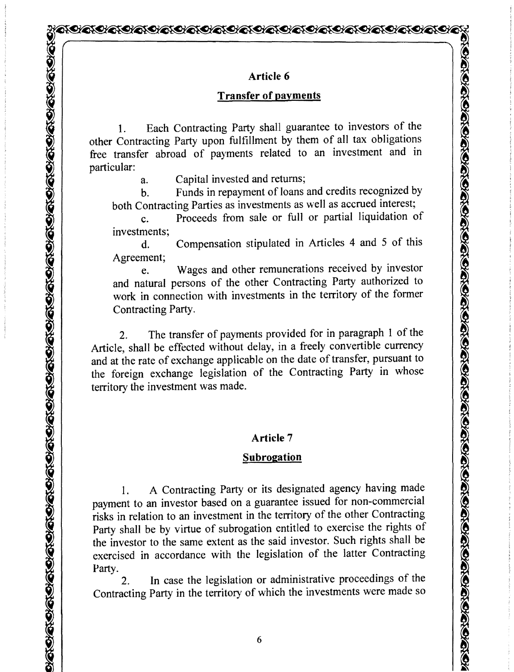#### Article 6

## Transfer of payments

1. Each Contracting Party shall guarantee to investors of the other Contracting Party upon fulfillment by them of all tax obligations free transfer abroad of payments related to an investment and in particular:

a. Capital invested and returns;

b. Funds in repayment of loans and credits recognized by both Contracting Parties as investments as well as accrued interest;

c. Proceeds from sale or full or partial liquidation of investments;

d. Compensation stipulated in Articles 4 and 5 of this Agreement;

e. Wages and other remunerations received by investor and natural persons of the other Contracting Party authorized to work in connection with investments in the territory of the former Contracting Party.

2. The transfer of payments provided for in paragraph 1 of the Article, shall be effected without delay, in a freely convertible currency and at the rate of exchange applicable on the date of transfer, pursuant to the foreign exchange legislation of the Contracting Party in whose territory the investment was made.

## Article 7

#### **Subrogation**

1. A Contracting Party or its designated agency having made payment to an investor based on a guarantee issued for non-commercial risks in relation to an investment in the territory of the other Contracting Party shall be by virtue of subrogation entitled to exercise the rights of the investor to the same extent as the said investor. Such rights shall be exercised in accordance with the legislation of the latter Contracting Party.

2. In case the legislation or administrative proceedings of the Contracting Party in the territory of which the investments were made so

6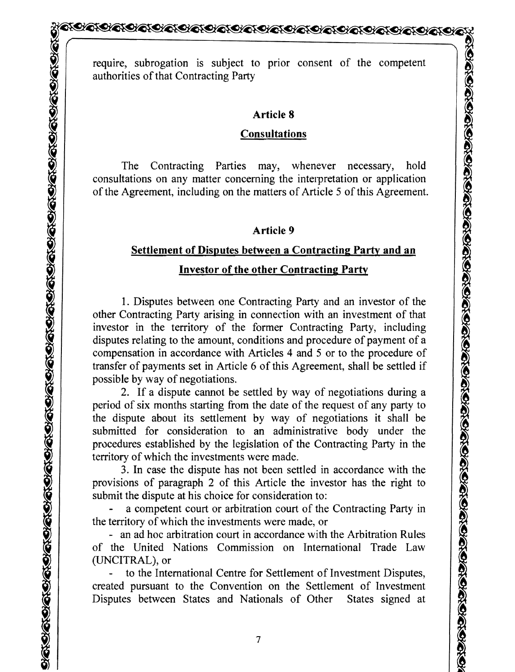require, subrogation is subject to prior consent of the competent authorities of that Contracting Party

#### **Article 8**

#### **Consultations**

The Contracting Parties may, whenever necessary, hold consultations on any matter concerning the interpretation or application of the Agreement, including on the matters of Article 5 of this Agreement.

## **Article 9**

## **Settlement of Disputes between a Contracting Party and an Investor of the other Contracting Party**

1. Disputes between one Contracting Party and an investor of the other Contracting Party arising in connection with an investment of that investor in the territory of the former Contracting Party, including disputes relating to the amount, conditions and procedure of payment of a compensation in accordance with Articles 4 and 5 or to the procedure of transfer of payments set in Article 6 of this Agreement, shall be settled if possible by way of negotiations.

2. If a dispute cannot be settled by way of negotiations during a period of six months starting from the date of the request of any party to the dispute about its settlement by way of negotiations it shall be submitted for consideration to an administrative body under the procedures established by the legislation of the Contracting Party in the territory of which the investments were made.

3. In case the dispute has not been settled in accordance with the provisions of paragraph 2 of this Article the investor has the right to submit the dispute at his choice for consideration to:

a competent court or arbitration court of the Contracting Party in the territory of which the investments were made, or

- an ad hoc arbitration court in accordance with the Arbitration Rules of the United Nations Commission on International Trade Law (UNCITRAL), or

to the International Centre for Settlement of Investment Disputes, created pursuant to the Convention on the Settlement of Investment Disputes between States and Nationals of Other States signed at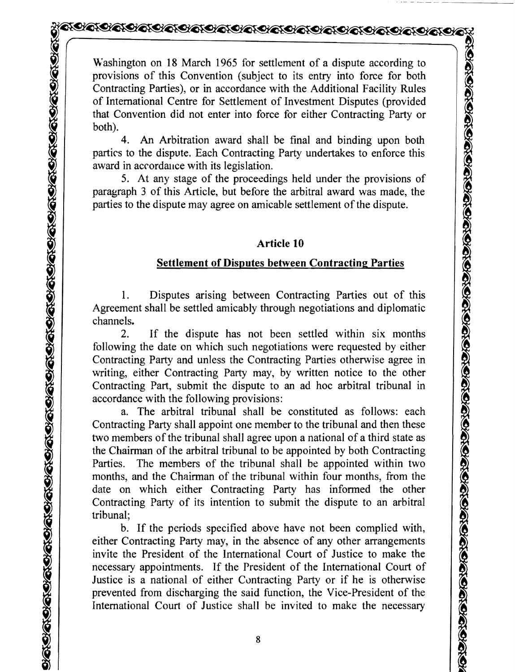Washington on 18 March 1965 for settlement of a dispute according to provisions of this Convention (subject to its entry into force for both Contracting Parties), or in accordance with the Additional Facility Rules of International Centre for Settlement of Investment Disputes (provided that Convention did not enter into force for either Contracting Party or both).

4. An Arbitration award shall be final and binding upon both partirs to the dispute. Each Contracting Party undertakes to enforce this award in acrordance with its legislation.

5. At any stage of the proceedings held under the provisions of paragraph 3 of this Article, but before the arbitral award was made, the parties to the dispute may agree on amicable settlement of the dispute.

#### **Article 10**

## **Settlement of Disputes between Contracting Parties**

1. Disputes arising between Contracting Parties out of this Agreement shall be settled amicably through negotiations and diplomatic channels.

2. If the dispute has not been settled within six months following the date on which such negotiations were requested by either Contracting Party and unless the Contracting Parties otherwise agree in writing, either Contracting Party may, by written notice to the other Contracting Part, submit the dispute to an ad hoc arbitral tribunal in accordance with the following provisions:

a. The arbitral tribunal shall be constituted as follows: each Contracting Party shall appoint one member to the tribunal and then these two members of the tribunal shall agree upon a national of a third state as the Chairman of the arbitral tribunal to be appointed by both Contracting Parties. The members of the tribunal shall be appointed within two months, and the Chairman of the tribunal within four months, from the date on which either Contracting Party has informed the other Contracting Party of its intention to submit the dispute to an arbitral tribunal;

b. If the periods specified above have not been complied with, either Contracting Party may, in the absence of any other arrangements invite the President of the International Court of Justice to make the necessary appointments. If the President of the International Court of Justice is a national of either Cuntracting Party or if he is otherwise prevented from discharging the said function, the Vice-President of the International Court of Justice shall be invited to make the necessary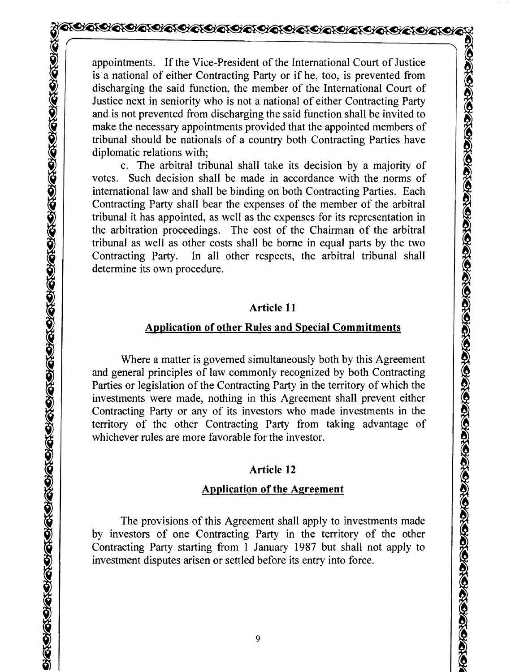appointments. If the Vice-President of the International Court of Justice is a national of either Contracting Party or if he, too, is prevented from discharging the said function, the member of the International Court of Justice next in seniority who is not a national of either Contracting Party and is not prevented from discharging the said function shall be invited to make the necessary appointments provided that the appointed members of tribunal should be nationals of a country both Contracting Parties have diplomatic relations with;

c. The arbitral tribunal shall take its decision by a majority of votes. Such decision shall be made in accordance with the norms of international law and shall be binding on both Contracting Parties. Each Contracting Party shall bear the expenses of the member of the arbitral tribunal it has appointed, as well as the expenses for its representation in the arbitration proceedings. The cost of the Chairman of the arbitral tribunal as well as other costs shall be borne in equal parts by the two Contracting Party. In all other respects, the arbitral tribunal shall determine its own procedure.

#### **Article 11**

#### **Application of other Rules and Special Commitments**

Where a matter is governed simultaneously both by this Agreement and general principles of law commonly recognized by both Contracting Parties or legislation of the Contracting Party in the territory of which the investments were made, nothing in this Agreement shall prevent either Contracting Party or any of its investors who made investments in the territory of the other Contracting Party from taking advantage of whichever rules are more favorable for the investor.

#### **Article 12**

#### **Application of the Agreement**

The provisions of this Agreement shall apply to investments made by investors of one Contracting Party in the territory of the other Contracting Party starting from 1 January 1987 but shall not apply to investment disputes arisen or settled before its entry into force.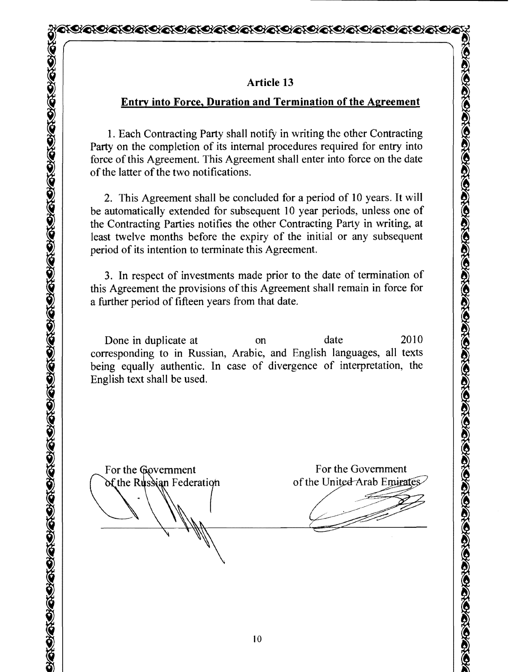#### **Article 13**

#### **Entry into Force, Duration and Termination of the Agreement**

1. Each Contracting Party shall notify in writing the other Contracting Party on the completion of its internal procedures required for entry into force of this Agreement. This Agreement shall enter into force on the date of the latter of the two notifications.

2. This Agreement shall be concluded for a period of 10 years. It will be automatically extended for subsequent 10 year periods, unless one of the Contracting Parties notifies the other Contracting Party in writing, at least twelve months before the expiry of the initial or any subsequent period of its intention to terminate this Agreement.

3. In respect of investments made prior to the date of termination of this Agreement the provisions of this Agreement shall remain in force for a further period of fifteen years from that date.

Done in duplicate at on date 2010 corresponding to in Russian, Arabic, and English languages, all texts being equally authentic. In case of divergence of interpretation, the English text shall be used.

For the Government<br>
of the Russian Federation

<u>୨୦୧୨ ଅକ୍ଟୋବନ ରାଜା କାର ସାକ୍ଷାର ସାକ୍ଷାର ସାକ୍ଷାର ସାକ୍ଷାର ସାକ୍ଷାର ସାକ୍ଷାର ସାକ୍ଷାର ସାକ୍ଷାର ସାକ୍ଷାର ସାକ୍ଷାର ସାକ୍ଷାର</u>

For the Government of the United Arab Emirates